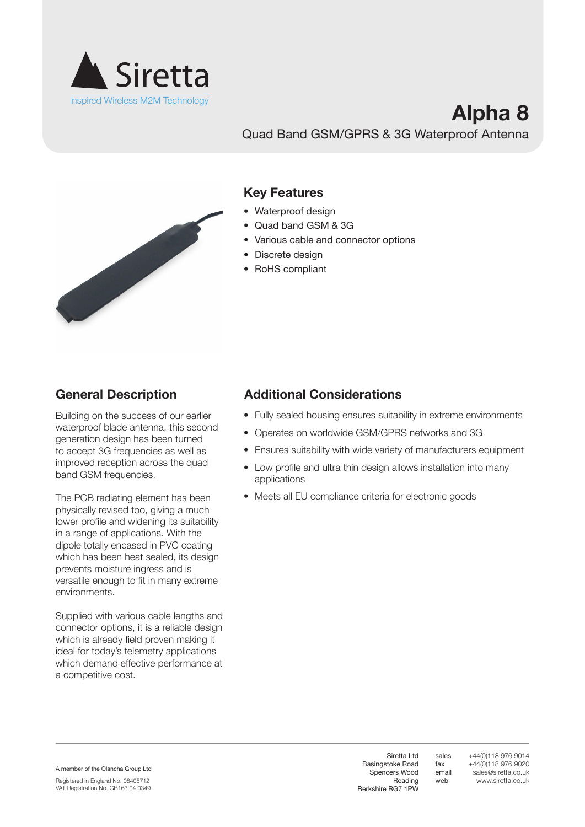

## **Alpha 8** Quad Band GSM/GPRS & 3G Waterproof Antenna



### **Key Features**

- Waterproof design
- • Quad band GSM & 3G
- Various cable and connector options
- Discrete design
- RoHS compliant

Building on the success of our earlier waterproof blade antenna, this second generation design has been turned to accept 3G frequencies as well as improved reception across the quad band GSM frequencies.

The PCB radiating element has been physically revised too, giving a much lower profile and widening its suitability in a range of applications. With the dipole totally encased in PVC coating which has been heat sealed, its design prevents moisture ingress and is versatile enough to fit in many extreme environments.

Supplied with various cable lengths and connector options, it is a reliable design which is already field proven making it ideal for today's telemetry applications which demand effective performance at a competitive cost.

## **General Description Additional Considerations**

- Fully sealed housing ensures suitability in extreme environments
- Operates on worldwide GSM/GPRS networks and 3G
- Ensures suitability with wide variety of manufacturers equipment
- Low profile and ultra thin design allows installation into many applications
- Meets all EU compliance criteria for electronic goods

A member of the Olancha Group Ltd